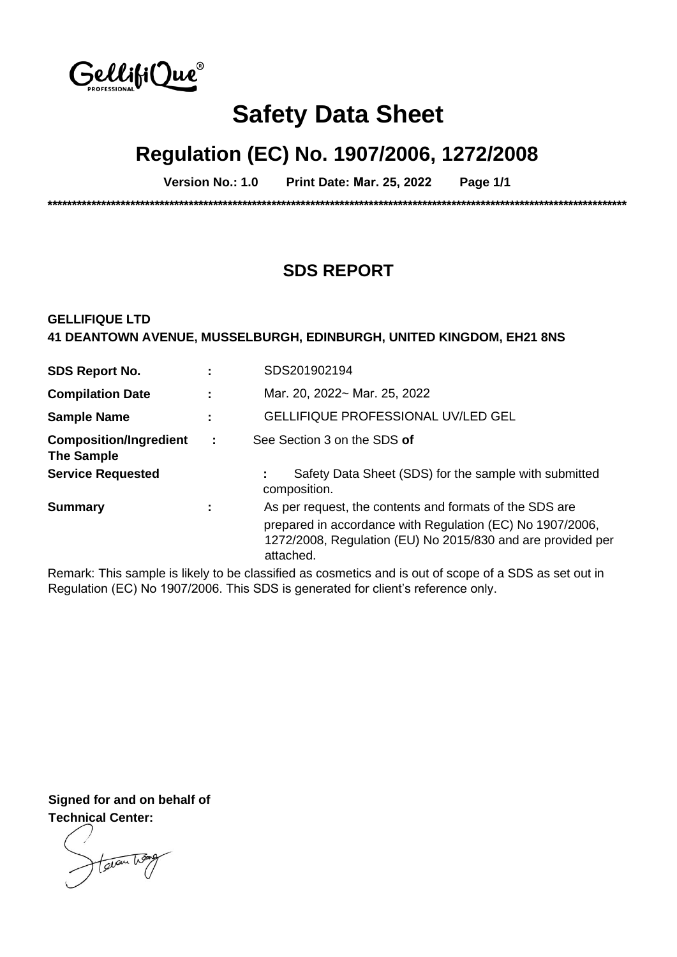

# **Safety Data Sheet**

# **Regulation (EC) No. 1907/2006, 1272/2008**

**Version No.: 1.0 Print Date: Mar. 25, 2022 Page 1/1** 

**\*\*\*\*\*\*\*\*\*\*\*\*\*\*\*\*\*\*\*\*\*\*\*\*\*\*\*\*\*\*\*\*\*\*\*\*\*\*\*\*\*\*\*\*\*\*\*\*\*\*\*\*\*\*\*\*\*\*\*\*\*\*\*\*\*\*\*\*\*\*\*\*\*\*\*\*\*\*\*\*\*\*\*\*\*\*\*\*\*\*\*\*\*\*\*\*\*\*\*\*\*\*\*\*\*\*\*\*\*\*\*\*\*\*\*\*\*\*\*** 

# **SDS REPORT**

### **GELLIFIQUE LTD 41 DEANTOWN AVENUE, MUSSELBURGH, EDINBURGH, UNITED KINGDOM, EH21 8NS**

| <b>SDS Report No.</b>                              |   | SDS201902194                                                                                                                                                                                     |
|----------------------------------------------------|---|--------------------------------------------------------------------------------------------------------------------------------------------------------------------------------------------------|
| <b>Compilation Date</b>                            |   | Mar. 20, 2022~ Mar. 25, 2022                                                                                                                                                                     |
| <b>Sample Name</b>                                 |   | <b>GELLIFIQUE PROFESSIONAL UV/LED GEL</b>                                                                                                                                                        |
| <b>Composition/Ingredient</b><br><b>The Sample</b> | ÷ | See Section 3 on the SDS of                                                                                                                                                                      |
| <b>Service Requested</b>                           |   | Safety Data Sheet (SDS) for the sample with submitted<br>composition.                                                                                                                            |
| <b>Summary</b>                                     |   | As per request, the contents and formats of the SDS are<br>prepared in accordance with Regulation (EC) No 1907/2006,<br>1272/2008, Regulation (EU) No 2015/830 and are provided per<br>attached. |

Remark: This sample is likely to be classified as cosmetics and is out of scope of a SDS as set out in Regulation (EC) No 1907/2006. This SDS is generated for client's reference only.

**Signed for and on behalf of Technical Center:** 

taran hos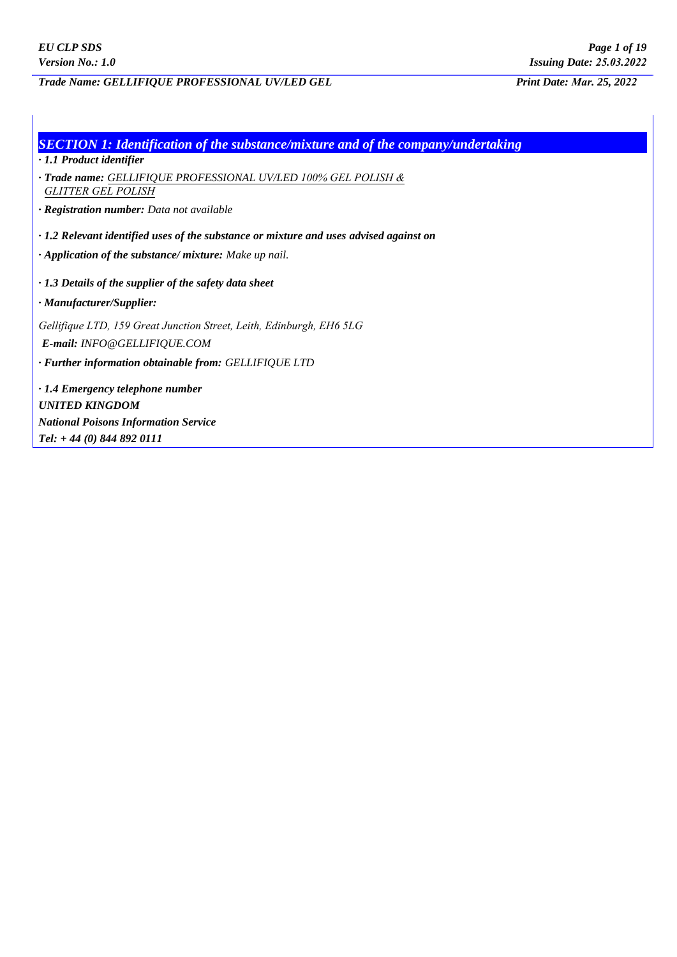### *Trade Name: GELLIFIQUE PROFESSIONAL UV/LED GEL Print Date: Mar. 25, 2022*

| <b>SECTION 1: Identification of the substance/mixture and of the company/undertaking</b>     |
|----------------------------------------------------------------------------------------------|
| $\cdot$ 1.1 Product identifier                                                               |
| · Trade name: GELLIFIQUE PROFESSIONAL UV/LED 100% GEL POLISH &<br><b>GLITTER GEL POLISH</b>  |
| · Registration number: Data not available                                                    |
| $\cdot$ 1.2 Relevant identified uses of the substance or mixture and uses advised against on |
| $\cdot$ Application of the substance/ mixture: Make up nail.                                 |
| $\cdot$ 1.3 Details of the supplier of the safety data sheet                                 |
| · Manufacturer/Supplier:                                                                     |
| Gellifique LTD, 159 Great Junction Street, Leith, Edinburgh, EH6 5LG                         |
| E-mail: INFO@GELLIFIQUE.COM                                                                  |
| · Further information obtainable from: GELLIFIQUE LTD                                        |
| · 1.4 Emergency telephone number                                                             |
| <b>UNITED KINGDOM</b>                                                                        |
| <b>National Poisons Information Service</b>                                                  |
| Tel: $+ 44(0) 844 892 0111$                                                                  |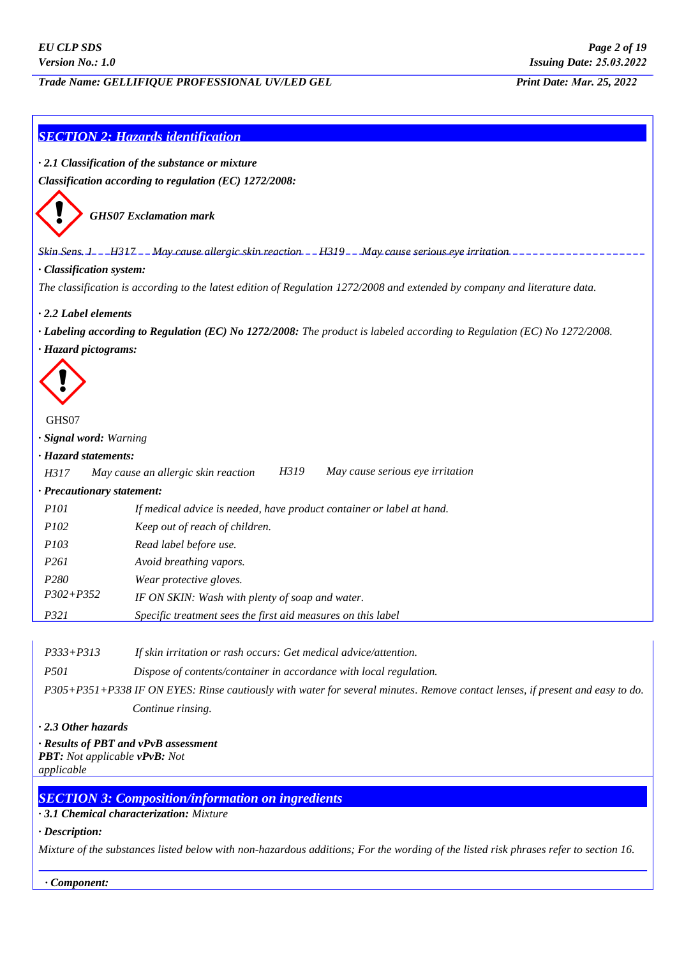*Trade Name: GELLIFIQUE PROFESSIONAL UV/LED GEL Print Date: Mar. 25, 2022*

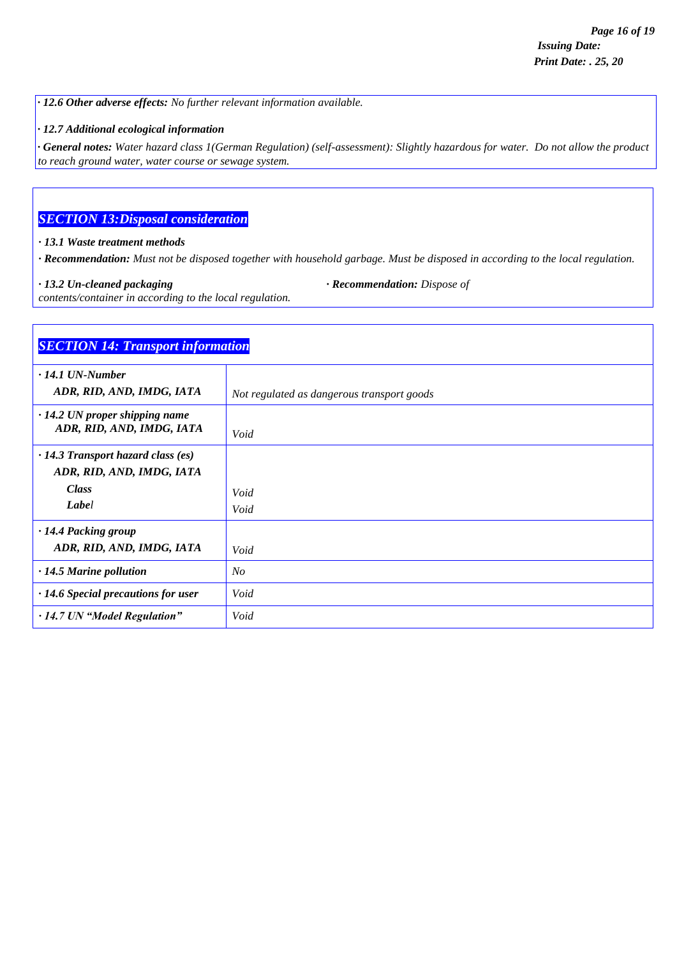*· 12.6 Other adverse effects: No further relevant information available.*

*· 12.7 Additional ecological information*

*· General notes: Water hazard class 1(German Regulation) (self-assessment): Slightly hazardous for water. Do not allow the product to reach ground water, water course or sewage system.*

## *SECTION 13:Disposal consideration*

*· 13.1 Waste treatment methods*

*· Recommendation: Must not be disposed together with household garbage. Must be disposed in according to the local regulation.*

*· 13.2 Un-cleaned packaging · Recommendation: Dispose of*

*contents/container in according to the local regulation.*

| <b>SECTION 14: Transport information</b>                          |                                            |
|-------------------------------------------------------------------|--------------------------------------------|
| $\cdot$ 14.1 UN-Number                                            |                                            |
| ADR, RID, AND, IMDG, IATA                                         | Not regulated as dangerous transport goods |
| $\cdot$ 14.2 UN proper shipping name<br>ADR, RID, AND, IMDG, IATA | Void                                       |
| $\cdot$ 14.3 Transport hazard class (es)                          |                                            |
| ADR, RID, AND, IMDG, IATA                                         |                                            |
| <b>Class</b>                                                      | Void                                       |
| Label                                                             | Void                                       |
| · 14.4 Packing group                                              |                                            |
| ADR, RID, AND, IMDG, IATA                                         | Void                                       |
| $\cdot$ 14.5 Marine pollution                                     | N <sub>O</sub>                             |
| $\cdot$ 14.6 Special precautions for user                         | Void                                       |
| · 14.7 UN "Model Regulation"                                      | Void                                       |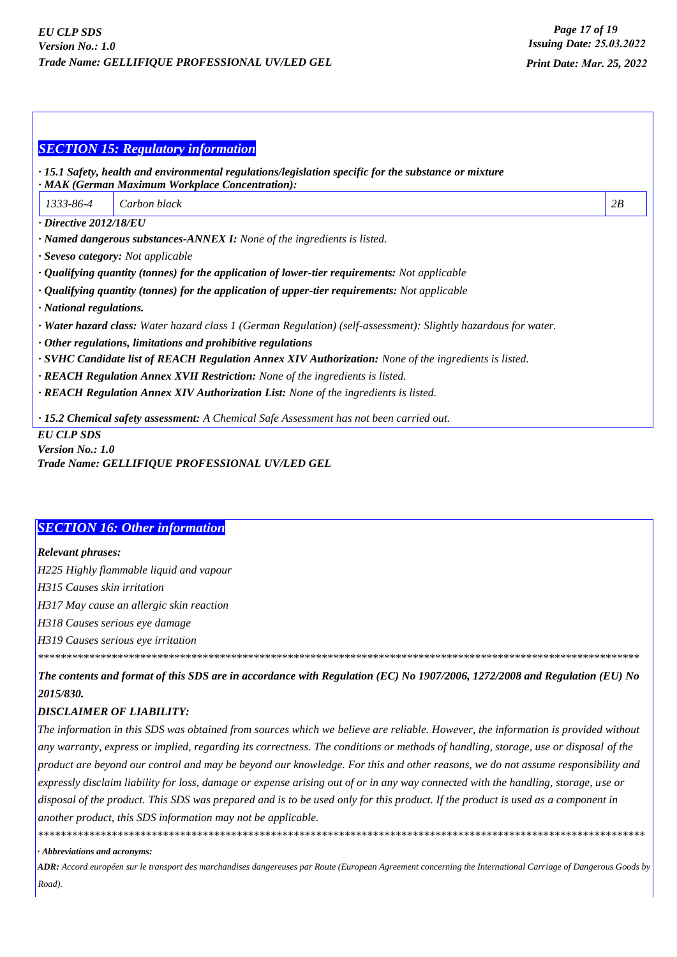|                                                                                                                        | <b>SECTION 15: Regulatory information</b>                                                                                                                |    |  |  |
|------------------------------------------------------------------------------------------------------------------------|----------------------------------------------------------------------------------------------------------------------------------------------------------|----|--|--|
|                                                                                                                        | · 15.1 Safety, health and environmental regulations/legislation specific for the substance or mixture<br>· MAK (German Maximum Workplace Concentration): |    |  |  |
| 1333-86-4                                                                                                              | Carbon black                                                                                                                                             | 2B |  |  |
| $\cdot$ Directive 2012/18/EU                                                                                           |                                                                                                                                                          |    |  |  |
| · Named dangerous substances-ANNEX I: None of the ingredients is listed.                                               |                                                                                                                                                          |    |  |  |
| · Seveso category: Not applicable                                                                                      |                                                                                                                                                          |    |  |  |
| $\cdot$ Qualifying quantity (tonnes) for the application of lower-tier requirements: Not applicable                    |                                                                                                                                                          |    |  |  |
| $\cdot$ Qualifying quantity (tonnes) for the application of upper-tier requirements: Not applicable                    |                                                                                                                                                          |    |  |  |
| · National regulations.                                                                                                |                                                                                                                                                          |    |  |  |
| <b>· Water hazard class:</b> Water hazard class 1 (German Regulation) (self-assessment): Slightly hazardous for water. |                                                                                                                                                          |    |  |  |
| $\cdot$ Other regulations, limitations and prohibitive regulations                                                     |                                                                                                                                                          |    |  |  |
| $\cdot$ SVHC Candidate list of REACH Regulation Annex XIV Authorization: None of the ingredients is listed.            |                                                                                                                                                          |    |  |  |
| <b>· REACH Regulation Annex XVII Restriction:</b> None of the ingredients is listed.                                   |                                                                                                                                                          |    |  |  |
| <b>· REACH Regulation Annex XIV Authorization List:</b> None of the ingredients is listed.                             |                                                                                                                                                          |    |  |  |
|                                                                                                                        | · 15.2 Chemical safety assessment: A Chemical Safe Assessment has not been carried out.                                                                  |    |  |  |
| <b>EU CLP SDS</b>                                                                                                      |                                                                                                                                                          |    |  |  |
| <b>Version No.: 1.0</b>                                                                                                |                                                                                                                                                          |    |  |  |

Trade Name: GELLIFIQUE PROFESSIONAL UV/LED GEL

#### **SECTION 16: Other information**

**Relevant phrases:** 

H225 Highly flammable liquid and vapour

H315 Causes skin irritation

H317 May cause an allergic skin reaction

H318 Causes serious eye damage

H319 Causes serious eye irritation

The contents and format of this SDS are in accordance with Regulation (EC) No 1907/2006, 1272/2008 and Regulation (EU) No 2015/830.

#### **DISCLAIMER OF LIABILITY:**

The information in this SDS was obtained from sources which we believe are reliable. However, the information is provided without any warranty, express or implied, regarding its correctness. The conditions or methods of handling, storage, use or disposal of the product are beyond our control and may be beyond our knowledge. For this and other reasons, we do not assume responsibility and expressly disclaim liability for loss, damage or expense arising out of or in any way connected with the handling, storage, use or disposal of the product. This SDS was prepared and is to be used only for this product. If the product is used as a component in another product, this SDS information may not be applicable.

#### · Abbreviations and acronyms:

ADR: Accord européen sur le transport des marchandises dangereuses par Route (European Agreement concerning the International Carriage of Dangerous Goods by Road).